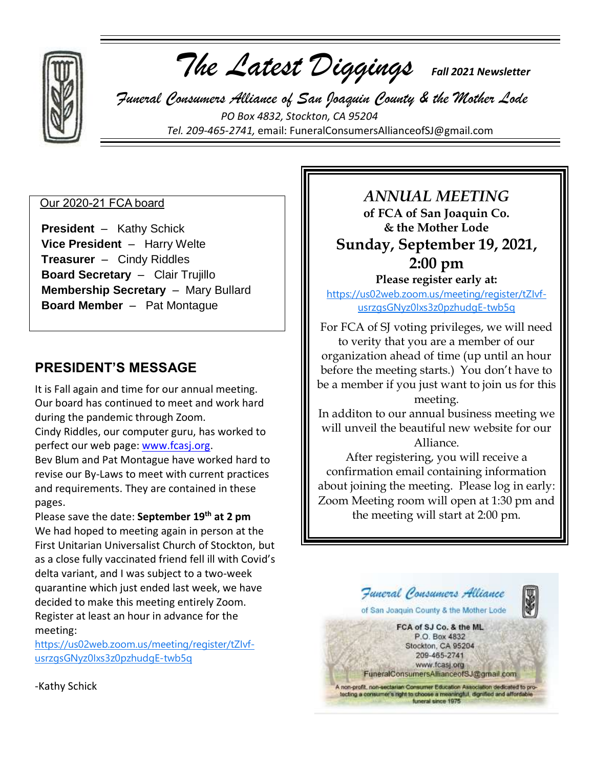

 *The Latest Diggings Fall 2021 Newsletter*

 *Funeral Consumers Alliance of San Joaquin County & the Mother Lode PO Box 4832, Stockton, CA 95204 Tel. 209-465-2741,* email: [FuneralConsumersAllianceofSJ@gmail.com](mailto:FuneralConsumersAllianceofSJ@gmail.com)

## Our 2020-21 FCA board

 **President** – Kathy Schick **Vice President** – Harry Welte **Treasurer** – Cindy Riddles **Board Secretary** – Clair Trujillo **Membership Secretary** – Mary Bullard **Board Member** – Pat Montague

# **PRESIDENT'S MESSAGE**

It is Fall again and time for our annual meeting. Our board has continued to meet and work hard during the pandemic through Zoom.

Cindy Riddles, our computer guru, has worked to perfect our web page: [www.fcasj.org.](http://www.fcasj.org/)

Bev Blum and Pat Montague have worked hard to revise our By-Laws to meet with current practices and requirements. They are contained in these pages.

Please save the date: **September 19th at 2 pm** We had hoped to meeting again in person at the First Unitarian Universalist Church of Stockton, but as a close fully vaccinated friend fell ill with Covid's delta variant, and I was subject to a two-week quarantine which just ended last week, we have decided to make this meeting entirely Zoom. Register at least an hour in advance for the meeting:

[https://us02web.zoom.us/meeting/register/tZIvf](https://us02web.zoom.us/meeting/register/tZIvf-usrzgsGNyz0Ixs3z0pzhudgE-twb5q)[usrzgsGNyz0Ixs3z0pzhudgE-twb5q](https://us02web.zoom.us/meeting/register/tZIvf-usrzgsGNyz0Ixs3z0pzhudgE-twb5q)

*ANNUAL MEETING* **of FCA of San Joaquin Co. & the Mother Lode Sunday, September 19, 2021, 2:00 pm**

**Please register early at:** 

[https://us02web.zoom.us/meeting/register/tZIvf](https://us02web.zoom.us/meeting/register/tZIvf-usrzgsGNyz0Ixs3z0pzhudgE-twb5q)[usrzgsGNyz0Ixs3z0pzhudgE-twb5q](https://us02web.zoom.us/meeting/register/tZIvf-usrzgsGNyz0Ixs3z0pzhudgE-twb5q)

For FCA of SJ voting privileges, we will need to verity that you are a member of our organization ahead of time (up until an hour before the meeting starts.) You don't have to be a member if you just want to join us for this meeting.

In additon to our annual business meeting we will unveil the beautiful new website for our Alliance.

After registering, you will receive a confirmation email containing information about joining the meeting. Please log in early: Zoom Meeting room will open at 1:30 pm and the meeting will start at 2:00 pm.



-Kathy Schick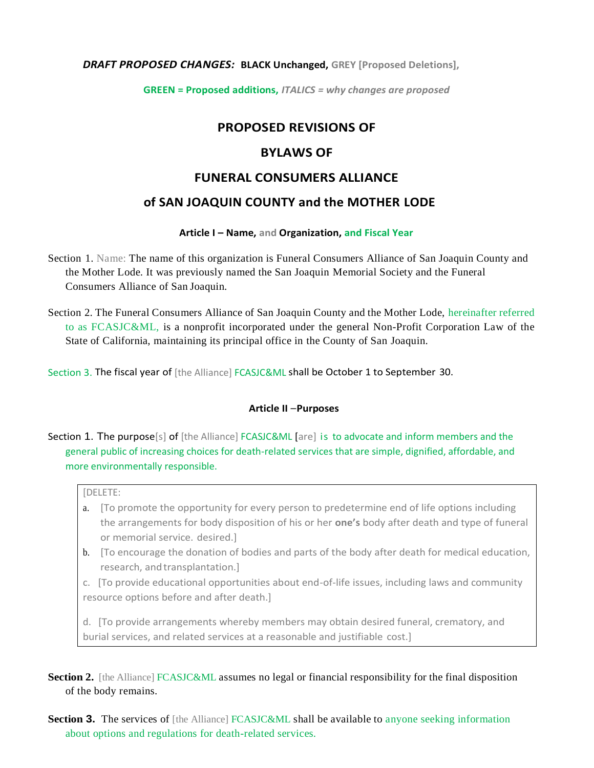### *DRAFT PROPOSED CHANGES:* **BLACK Unchanged, GREY [Proposed Deletions],**

**GREEN = Proposed additions,** *ITALICS = why changes are proposed*

# **PROPOSED REVISIONS OF**

## **BYLAWS OF**

## **FUNERAL CONSUMERS ALLIANCE**

## **of SAN JOAQUIN COUNTY and the MOTHER LODE**

### **Article I – Name, and Organization, and Fiscal Year**

- Section 1. Name: The name of this organization is Funeral Consumers Alliance of San Joaquin County and the Mother Lode. It was previously named the San Joaquin Memorial Society and the Funeral Consumers Alliance of San Joaquin.
- Section 2. The Funeral Consumers Alliance of San Joaquin County and the Mother Lode, hereinafter referred to as FCASJC&ML, is a nonprofit incorporated under the general Non-Profit Corporation Law of the State of California, maintaining its principal office in the County of San Joaquin.
- Section 3. The fiscal year of [the Alliance] FCASJC&ML shall be October 1 to September 30.

### **Article II** –**Purposes**

# Section 1. The purpose[s] of [the Alliance] FCASJC&ML [are] is to advocate and inform members and the general public of increasing choices for death-related services that are simple, dignified, affordable, and more environmentally responsible.

#### [DELETE:

- a. [To promote the opportunity for every person to predetermine end of life options including the arrangements for body disposition of his or her **one's** body after death and type of funeral or memorial service. desired.]
- b. [To encourage the donation of bodies and parts of the body after death for medical education, research, and transplantation.]
- c. [To provide educational opportunities about end-of-life issues, including laws and community resource options before and after death.]

d. [To provide arrangements whereby members may obtain desired funeral, crematory, and burial services, and related services at a reasonable and justifiable cost.]

**Section 2.** [the Alliance] FCASJC&ML assumes no legal or financial responsibility for the final disposition of the body remains.

**Section 3.** The services of [the Alliance] FCASJC&ML shall be available to anyone seeking information about options and regulations for death-related services.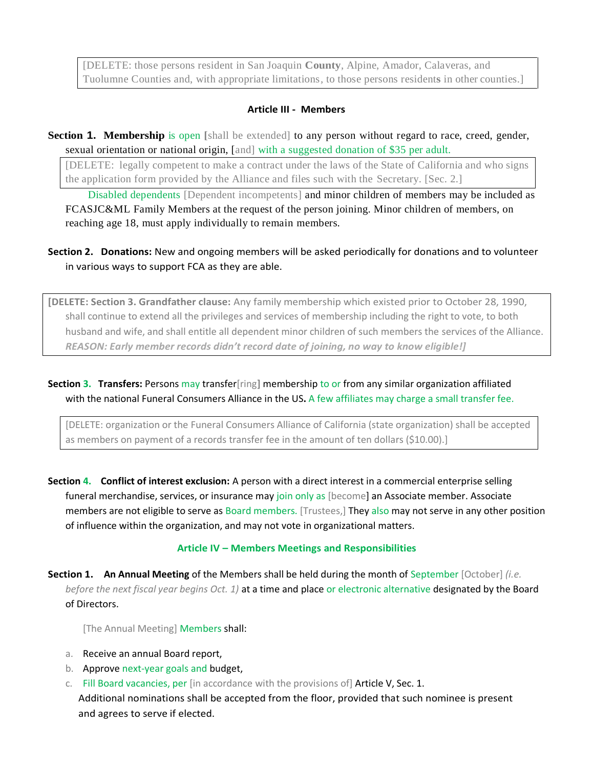[DELETE: those persons resident in San Joaquin **County**, Alpine, Amador, Calaveras, and Tuolumne Counties and, with appropriate limitations*,* to those persons resident**s** in other counties.]

### **Article III - Members**

**Section 1. Membership** is open [shall be extended] to any person without regard to race, creed, gender, sexual orientation or national origin, [and] with a suggested donation of \$35 per adult.

[DELETE: legally competent to make a contract under the laws of the State of California and who signs the application form provided by the Alliance and files such with the Secretary. [Sec. 2.]

 Disabled dependents [Dependent incompetents] and minor children of members may be included as FCASJC&ML Family Members at the request of the person joining. Minor children of members, on reaching age 18, must apply individually to remain members.

**Section 2. Donations:** New and ongoing members will be asked periodically for donations and to volunteer in various ways to support FCA as they are able.

**[DELETE: Section 3. Grandfather clause:** Any family membership which existed prior to October 28, 1990, shall continue to extend all the privileges and services of membership including the right to vote, to both husband and wife, and shall entitle all dependent minor children of such members the services of the Alliance. *REASON: Early member records didn't record date of joining, no way to know eligible!]*

**Section 3. Transfers:** Persons may transfer[ring**]** membership to or from any similar organization affiliated with the national Funeral Consumers Alliance in the US**.** A few affiliates may charge a small transfer fee.

[DELETE: organization or the Funeral Consumers Alliance of California (state organization) shall be accepted as members on payment of a records transfer fee in the amount of ten dollars (\$10.00).]

**Section 4. Conflict of interest exclusion:** A person with a direct interest in a commercial enterprise selling funeral merchandise, services, or insurance may join only as [become] an Associate member. Associate members are not eligible to serve as Board members. [Trustees,] They also may not serve in any other position of influence within the organization, and may not vote in organizational matters.

## **Article IV – Members Meetings and Responsibilities**

**Section 1. An Annual Meeting** of the Members shall be held during the month of September [October] *(i.e. before the next fiscal year begins Oct. 1)* at a time and place or electronic alternative designated by the Board of Directors.

[The Annual Meeting] Members shall:

- a. Receive an annual Board report,
- b. Approve next-year goals and budget,
- c. Fill Board vacancies, per  $[$ in accordance with the provisions of  $]$  Article V, Sec. 1. Additional nominations shall be accepted from the floor, provided that such nominee is present and agrees to serve if elected.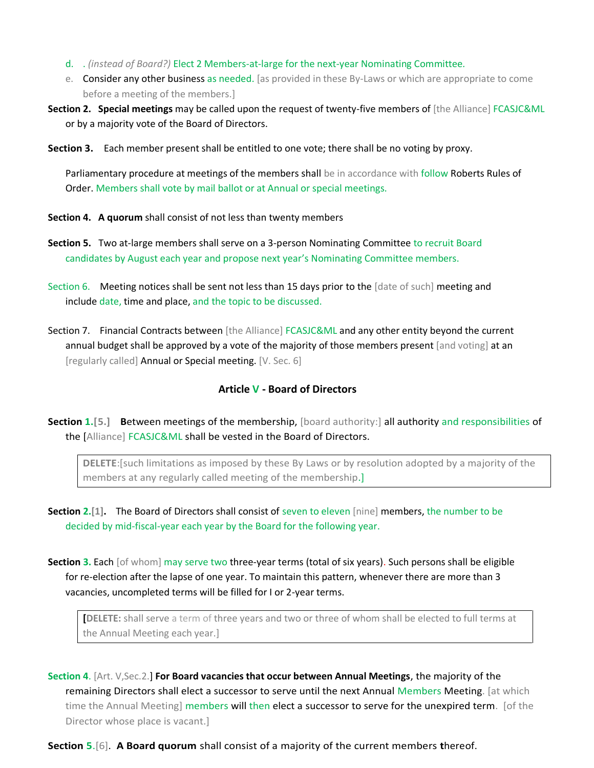- d. . *(instead of Board?)* Elect 2 Members-at-large for the next-year Nominating Committee*.*
- e. Consider any other business as needed. [as provided in these By-Laws or which are appropriate to come before a meeting of the members.]
- **Section 2. Special meetings** may be called upon the request of twenty-five members of [the Alliance] FCASJC&ML or by a majority vote of the Board of Directors.

**Section 3.** Each member present shall be entitled to one vote; there shall be no voting by proxy.

Parliamentary procedure at meetings of the members shall be in accordance with follow Roberts Rules of Order. Members shall vote by mail ballot or at Annual or special meetings.

- **Section 4. A quorum** shall consist of not less than twenty members
- **Section 5.** Two at-large members shall serve on a 3-person Nominating Committee to recruit Board candidates by August each year and propose next year's Nominating Committee members.
- Section 6. Meeting notices shall be sent not less than 15 days prior to the [date of such] meeting and include date, time and place, and the topic to be discussed.
- Section 7. Financial Contracts between [the Alliance] FCASJC&ML and any other entity beyond the current annual budget shall be approved by a vote of the majority of those members present [and voting] at an [regularly called] Annual or Special meeting. [V. Sec. 6]

## **Article V - Board of Directors**

**Section 1.[5.] Between meetings of the membership, [board authority:] all authority and responsibilities of** the [Alliance] FCASJC&ML shall be vested in the Board of Directors.

**DELETE**:[such limitations as imposed by these By Laws or by resolution adopted by a majority of the members at any regularly called meeting of the membership.]

- **Section 2.[1].** The Board of Directors shall consist of seven to eleven [nine] members, the number to be decided by mid-fiscal-year each year by the Board for the following year.
- **Section 3.** Each [of whom] may serve two three-year terms (total of six years). Such persons shall be eligible for re-election after the lapse of one year. To maintain this pattern, whenever there are more than 3 vacancies, uncompleted terms will be filled for I or 2-year terms.

**[DELETE:** shall serve a term of three years and two or three of whom shall be elected to full terms at the Annual Meeting each year.]

**Section 4**. [Art. V,Sec.2.] **For Board vacancies that occur between Annual Meetings**, the majority of the remaining Directors shall elect a successor to serve until the next Annual Members Meeting. [at which time the Annual Meeting] members will then elect a successor to serve for the unexpired term. [of the Director whose place is vacant.]

**Section 5**.[6]. **A Board quorum** shall consist of a majority of the current members **t**hereof.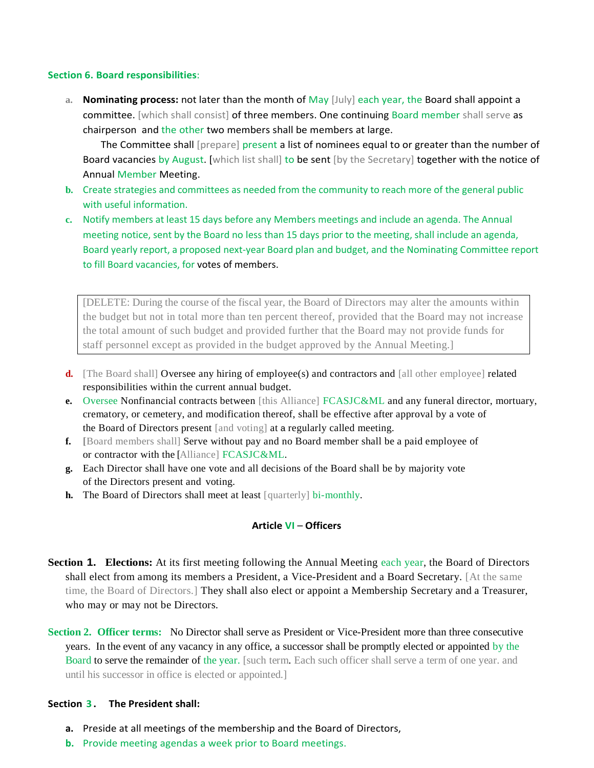#### **Section 6. Board responsibilities**:

**a. Nominating process:** not later than the month of May [July] each year, the Board shall appoint a committee. [which shall consist] of three members. One continuing Board member shall serve as chairperson and the other two members shall be members at large.

 The Committee shall [prepare] present a list of nominees equal to or greater than the number of Board vacancies by August. [which list shall] to be sent [by the Secretary] together with the notice of Annual Member Meeting.

- **b.** Create strategies and committees as needed from the community to reach more of the general public with useful information.
- **c.** Notify members at least 15 days before any Members meetings and include an agenda. The Annual meeting notice, sent by the Board no less than 15 days prior to the meeting, shall include an agenda, Board yearly report, a proposed next-year Board plan and budget, and the Nominating Committee report to fill Board vacancies, for votes of members.

[DELETE: During the course of the fiscal year, the Board of Directors may alter the amounts within the budget but not in total more than ten percent thereof, provided that the Board may not increase the total amount of such budget and provided further that the Board may not provide funds for staff personnel except as provided in the budget approved by the Annual Meeting.]

- **d.** [The Board shall] Oversee any hiring of employee(s) and contractors and [all other employee] related responsibilities within the current annual budget.
- **e.** Oversee Nonfinancial contracts between [this Alliance] FCASJC&ML and any funeral director, mortuary, crematory, or cemetery, and modification thereof, shall be effective after approval by a vote of the Board of Directors present [and voting] at a regularly called meeting.
- **f. [**Board members shall] Serve without pay and no Board member shall be a paid employee of or contractor with the [Alliance] FCASJC&ML.
- **g.** Each Director shall have one vote and all decisions of the Board shall be by majority vote of the Directors present and voting.
- **h.** The Board of Directors shall meet at least [quarterly] bi-monthly.

## **Article VI** – **Officers**

**Section 1. Elections:** At its first meeting following the Annual Meeting each year, the Board of Directors shall elect from among its members a President, a Vice-President and a Board Secretary. [At the same time, the Board of Directors.] They shall also elect or appoint a Membership Secretary and a Treasurer, who may or may not be Directors.

**Section 2. Officer terms:** No Director shall serve as President or Vice-President more than three consecutive years. In the event of any vacancy in any office, a successor shall be promptly elected or appointed by the Board to serve the remainder of the year. [such term. Each such officer shall serve a term of one year. and until his successor in office is elected or appointed.]

## **Section 3 . The President shall:**

- **a.** Preside at all meetings of the membership and the Board of Directors,
- **b.** Provide meeting agendas a week prior to Board meetings.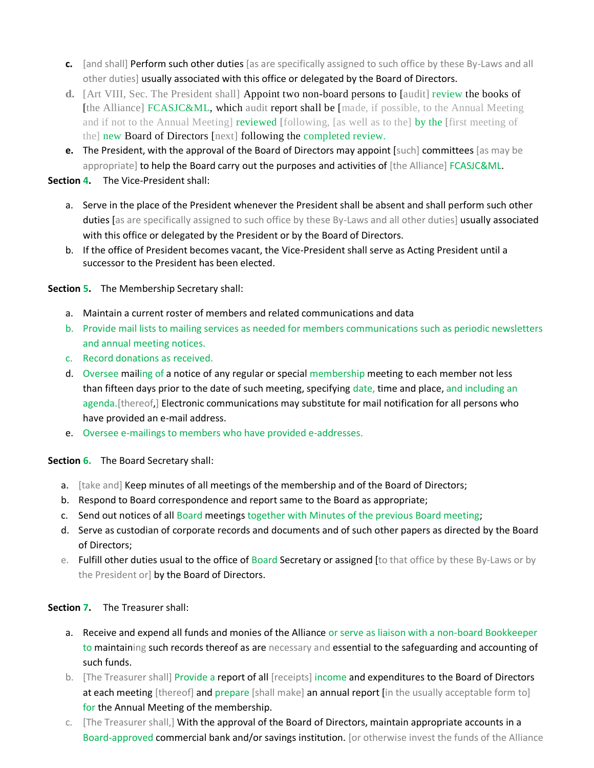- **c.** [and shall] Perform such other duties [as are specifically assigned to such office by these By-Laws and all other duties] usually associated with this office or delegated by the Board of Directors.
- **d.** [Art VIII, Sec. The President shall] Appoint two non-board persons to [audit] review the books of [the Alliance] FCASJC&ML, which audit report shall be [made, if possible, to the Annual Meeting and if not to the Annual Meeting] reviewed [following, [as well as to the] by the [first meeting of the] new Board of Directors [next] following the completed review.
- **e.** The President, with the approval of the Board of Directors may appoint [such] committees [as may be appropriate] to help the Board carry out the purposes and activities of [the Alliance] FCASJC&ML.

**Section 4.** The Vice-President shall:

- a. Serve in the place of the President whenever the President shall be absent and shall perform such other duties [as are specifically assigned to such office by these By-Laws and all other duties] usually associated with this office or delegated by the President or by the Board of Directors.
- b. If the office of President becomes vacant, the Vice-President shall serve as Acting President until a successor to the President has been elected.

**Section 5.** The Membership Secretary shall:

- a. Maintain a current roster of members and related communications and data
- b. Provide mail lists to mailing services as needed for members communications such as periodic newsletters and annual meeting notices.
- c. Record donations as received.
- d. Oversee mailing of a notice of any regular or special membership meeting to each member not less than fifteen days prior to the date of such meeting, specifying date, time and place, and including an agenda. [thereof,] Electronic communications may substitute for mail notification for all persons who have provided an e-mail address.
- e. Oversee e-mailings to members who have provided e-addresses.

**Section 6.** The Board Secretary shall:

- a. [take and] Keep minutes of all meetings of the membership and of the Board of Directors;
- b. Respond to Board correspondence and report same to the Board as appropriate;
- c. Send out notices of all Board meetings together with Minutes of the previous Board meeting;
- d. Serve as custodian of corporate records and documents and of such other papers as directed by the Board of Directors;
- e. Fulfill other duties usual to the office of Board Secretary or assigned [to that office by these By-Laws or by the President or] by the Board of Directors.

**Section 7.** The Treasurer shall:

- a. Receive and expend all funds and monies of the Alliance or serve as liaison with a non-board Bookkeeper to maintaining such records thereof as are necessary and essential to the safeguarding and accounting of such funds.
- b. [The Treasurer shall] Provide a report of all [receipts] income and expenditures to the Board of Directors at each meeting [thereof] and prepare [shall make] an annual report [in the usually acceptable form to] for the Annual Meeting of the membership.
- c. [The Treasurer shall,] With the approval of the Board of Directors, maintain appropriate accounts in a Board-approved commercial bank and/or savings institution. [or otherwise invest the funds of the Alliance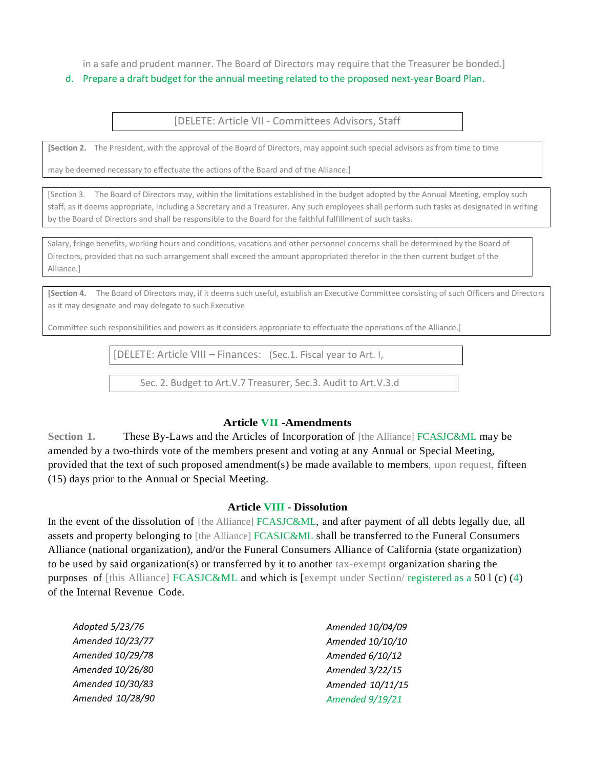in a safe and prudent manner. The Board of Directors may require that the Treasurer be bonded.]

#### d. Prepare a draft budget for the annual meeting related to the proposed next-year Board Plan.

[DELETE: Article VII - Committees Advisors, Staff

**[Section 2.** The President, with the approval of the Board of Directors, may appoint such special advisors as from time to time

may be deemed necessary to effectuate the actions of the Board and of the Alliance.]

[Section 3. The Board of Directors may, within the limitations established in the budget adopted by the Annual Meeting, employ such staff, as it deems appropriate, including a Secretary and a Treasurer. Any such employees shall perform such tasks as designated in writing by the Board of Directors and shall be responsible to the Board for the faithful fulfillment of such tasks.

Salary, fringe benefits, working hours and conditions, vacations and other personnel concerns shall be determined by the Board of Directors, provided that no such arrangement shall exceed the amount appropriated therefor in the then current budget of the Alliance.]

**[Section 4.** The Board of Directors may, if it deems such useful, establish an Executive Committee consisting of such Officers and Directors as it may designate and may delegate to such Executive

Committee such responsibilities and powers as it considers appropriate to effectuate the operations of the Alliance.]

[DELETE: Article VIII – Finances: (Sec.1. Fiscal year to Art. I,

Sec. 2. Budget to Art.V.7 Treasurer, Sec.3. Audit to Art.V.3.d

#### **Article VII -Amendments**

**Section 1.** These By-Laws and the Articles of Incorporation of [the Alliance] FCASJC&ML may be amended by a two-thirds vote of the members present and voting at any Annual or Special Meeting, provided that the text of such proposed amendment(s) be made available to members, upon request, fifteen (15) days prior to the Annual or Special Meeting.

#### **Article VIII** - **Dissolution**

In the event of the dissolution of [the Alliance] FCASJC&ML, and after payment of all debts legally due, all assets and property belonging to [the Alliance] FCASJC&ML shall be transferred to the Funeral Consumers Alliance (national organization), and/or the Funeral Consumers Alliance of California (state organization) to be used by said organization(s) or transferred by it to another tax-exempt organization sharing the purposes of [this Alliance] FCASJC&ML and which is [exempt under Section/ registered as a 50 l (c) (4) of the Internal Revenue Code.

| Adopted 5/23/76  | Amended 10/04/09 |
|------------------|------------------|
| Amended 10/23/77 | Amended 10/10/10 |
| Amended 10/29/78 | Amended 6/10/12  |
| Amended 10/26/80 | Amended 3/22/15  |
| Amended 10/30/83 | Amended 10/11/15 |
| Amended 10/28/90 | Amended 9/19/21  |